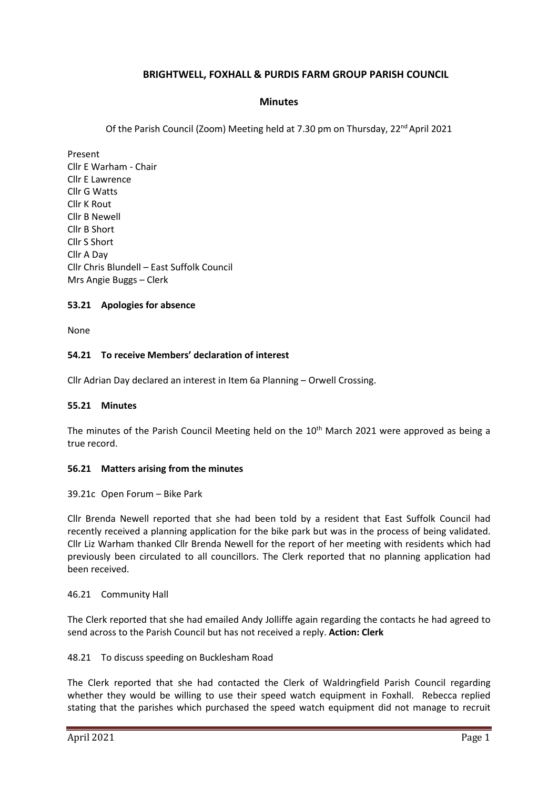# **BRIGHTWELL, FOXHALL & PURDIS FARM GROUP PARISH COUNCIL**

### **Minutes**

Of the Parish Council (Zoom) Meeting held at 7.30 pm on Thursday,  $22<sup>nd</sup>$  April 2021

Present Cllr E Warham - Chair Cllr E Lawrence Cllr G Watts Cllr K Rout Cllr B Newell Cllr B Short Cllr S Short Cllr A Day Cllr Chris Blundell – East Suffolk Council Mrs Angie Buggs – Clerk

### **53.21 Apologies for absence**

None

### **54.21 To receive Members' declaration of interest**

Cllr Adrian Day declared an interest in Item 6a Planning – Orwell Crossing.

#### **55.21 Minutes**

The minutes of the Parish Council Meeting held on the 10<sup>th</sup> March 2021 were approved as being a true record.

#### **56.21 Matters arising from the minutes**

39.21c Open Forum – Bike Park

Cllr Brenda Newell reported that she had been told by a resident that East Suffolk Council had recently received a planning application for the bike park but was in the process of being validated. Cllr Liz Warham thanked Cllr Brenda Newell for the report of her meeting with residents which had previously been circulated to all councillors. The Clerk reported that no planning application had been received.

#### 46.21 Community Hall

The Clerk reported that she had emailed Andy Jolliffe again regarding the contacts he had agreed to send across to the Parish Council but has not received a reply. **Action: Clerk**

#### 48.21 To discuss speeding on Bucklesham Road

The Clerk reported that she had contacted the Clerk of Waldringfield Parish Council regarding whether they would be willing to use their speed watch equipment in Foxhall. Rebecca replied stating that the parishes which purchased the speed watch equipment did not manage to recruit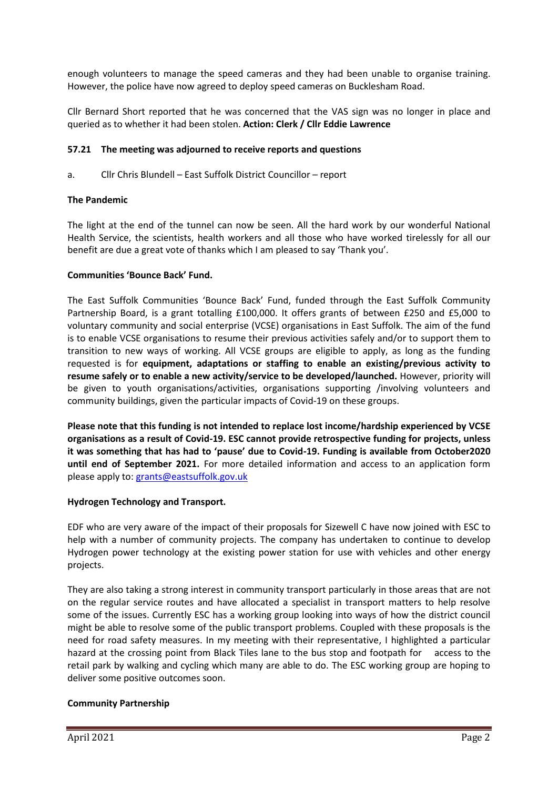enough volunteers to manage the speed cameras and they had been unable to organise training. However, the police have now agreed to deploy speed cameras on Bucklesham Road.

Cllr Bernard Short reported that he was concerned that the VAS sign was no longer in place and queried as to whether it had been stolen. **Action: Clerk / Cllr Eddie Lawrence**

# **57.21 The meeting was adjourned to receive reports and questions**

a. Cllr Chris Blundell – East Suffolk District Councillor – report

### **The Pandemic**

The light at the end of the tunnel can now be seen. All the hard work by our wonderful National Health Service, the scientists, health workers and all those who have worked tirelessly for all our benefit are due a great vote of thanks which I am pleased to say 'Thank you'.

### **Communities 'Bounce Back' Fund.**

The East Suffolk Communities 'Bounce Back' Fund, funded through the East Suffolk Community Partnership Board, is a grant totalling £100,000. It offers grants of between £250 and £5,000 to voluntary community and social enterprise (VCSE) organisations in East Suffolk. The aim of the fund is to enable VCSE organisations to resume their previous activities safely and/or to support them to transition to new ways of working. All VCSE groups are eligible to apply, as long as the funding requested is for **equipment, adaptations or staffing to enable an existing/previous activity to resume safely or to enable a new activity/service to be developed/launched.** However, priority will be given to youth organisations/activities, organisations supporting /involving volunteers and community buildings, given the particular impacts of Covid-19 on these groups.

**Please note that this funding is not intended to replace lost income/hardship experienced by VCSE organisations as a result of Covid-19. ESC cannot provide retrospective funding for projects, unless it was something that has had to 'pause' due to Covid-19. Funding is available from October2020 until end of September 2021.** For more detailed information and access to an application form please apply to: [grants@eastsuffolk.gov.uk](mailto:grants@eastsuffolk.gov.uk)

#### **Hydrogen Technology and Transport.**

EDF who are very aware of the impact of their proposals for Sizewell C have now joined with ESC to help with a number of community projects. The company has undertaken to continue to develop Hydrogen power technology at the existing power station for use with vehicles and other energy projects.

They are also taking a strong interest in community transport particularly in those areas that are not on the regular service routes and have allocated a specialist in transport matters to help resolve some of the issues. Currently ESC has a working group looking into ways of how the district council might be able to resolve some of the public transport problems. Coupled with these proposals is the need for road safety measures. In my meeting with their representative, I highlighted a particular hazard at the crossing point from Black Tiles lane to the bus stop and footpath for access to the retail park by walking and cycling which many are able to do. The ESC working group are hoping to deliver some positive outcomes soon.

# **Community Partnership**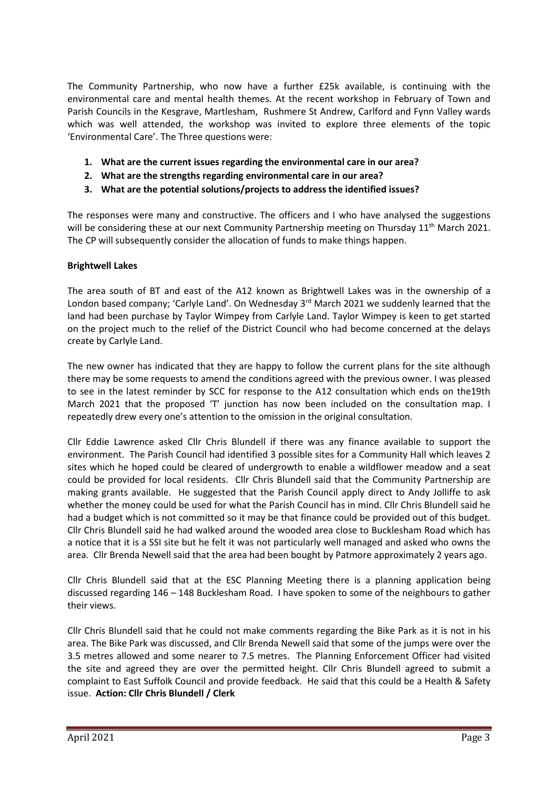The Community Partnership, who now have a further £25k available, is continuing with the environmental care and mental health themes. At the recent workshop in February of Town and Parish Councils in the Kesgrave, Martlesham, Rushmere St Andrew, Carlford and Fynn Valley wards which was well attended, the workshop was invited to explore three elements of the topic 'Environmental Care'. The Three questions were:

- **1. What are the current issues regarding the environmental care in our area?**
- **2. What are the strengths regarding environmental care in our area?**
- **3. What are the potential solutions/projects to address the identified issues?**

The responses were many and constructive. The officers and I who have analysed the suggestions will be considering these at our next Community Partnership meeting on Thursday  $11<sup>th</sup>$  March 2021. The CP will subsequently consider the allocation of funds to make things happen.

### **Brightwell Lakes**

The area south of BT and east of the A12 known as Brightwell Lakes was in the ownership of a London based company; 'Carlyle Land'. On Wednesday 3<sup>rd</sup> March 2021 we suddenly learned that the land had been purchase by Taylor Wimpey from Carlyle Land. Taylor Wimpey is keen to get started on the project much to the relief of the District Council who had become concerned at the delays create by Carlyle Land.

The new owner has indicated that they are happy to follow the current plans for the site although there may be some requests to amend the conditions agreed with the previous owner. I was pleased to see in the latest reminder by SCC for response to the A12 consultation which ends on the19th March 2021 that the proposed 'T' junction has now been included on the consultation map. I repeatedly drew every one's attention to the omission in the original consultation.

Cllr Eddie Lawrence asked Cllr Chris Blundell if there was any finance available to support the environment. The Parish Council had identified 3 possible sites for a Community Hall which leaves 2 sites which he hoped could be cleared of undergrowth to enable a wildflower meadow and a seat could be provided for local residents. Cllr Chris Blundell said that the Community Partnership are making grants available. He suggested that the Parish Council apply direct to Andy Jolliffe to ask whether the money could be used for what the Parish Council has in mind. Cllr Chris Blundell said he had a budget which is not committed so it may be that finance could be provided out of this budget. Cllr Chris Blundell said he had walked around the wooded area close to Bucklesham Road which has a notice that it is a SSI site but he felt it was not particularly well managed and asked who owns the area. Cllr Brenda Newell said that the area had been bought by Patmore approximately 2 years ago.

Cllr Chris Blundell said that at the ESC Planning Meeting there is a planning application being discussed regarding 146 – 148 Bucklesham Road. I have spoken to some of the neighbours to gather their views.

Cllr Chris Blundell said that he could not make comments regarding the Bike Park as it is not in his area. The Bike Park was discussed, and Cllr Brenda Newell said that some of the jumps were over the 3.5 metres allowed and some nearer to 7.5 metres. The Planning Enforcement Officer had visited the site and agreed they are over the permitted height. Cllr Chris Blundell agreed to submit a complaint to East Suffolk Council and provide feedback. He said that this could be a Health & Safety issue. **Action: Cllr Chris Blundell / Clerk**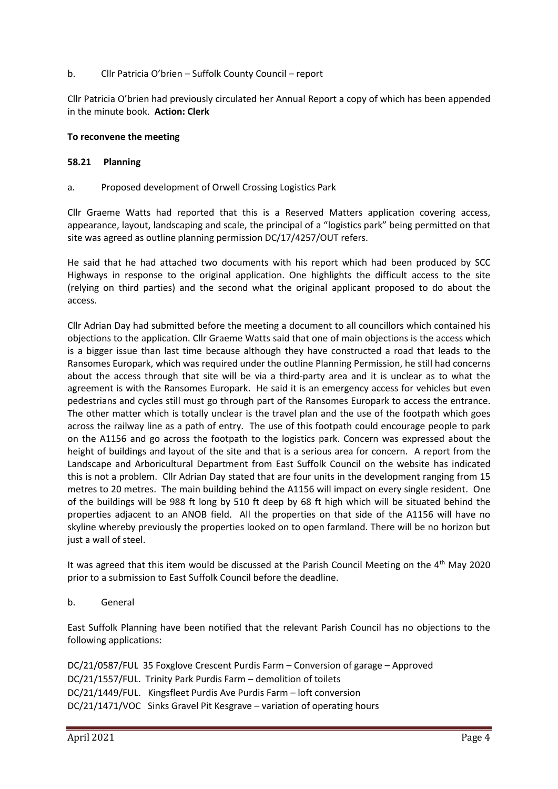### b. Cllr Patricia O'brien – Suffolk County Council – report

Cllr Patricia O'brien had previously circulated her Annual Report a copy of which has been appended in the minute book. **Action: Clerk**

### **To reconvene the meeting**

### **58.21 Planning**

a. Proposed development of Orwell Crossing Logistics Park

Cllr Graeme Watts had reported that this is a Reserved Matters application covering access, appearance, layout, landscaping and scale, the principal of a "logistics park" being permitted on that site was agreed as outline planning permission DC/17/4257/OUT refers.

He said that he had attached two documents with his report which had been produced by SCC Highways in response to the original application. One highlights the difficult access to the site (relying on third parties) and the second what the original applicant proposed to do about the access.

Cllr Adrian Day had submitted before the meeting a document to all councillors which contained his objections to the application. Cllr Graeme Watts said that one of main objections is the access which is a bigger issue than last time because although they have constructed a road that leads to the Ransomes Europark, which was required under the outline Planning Permission, he still had concerns about the access through that site will be via a third-party area and it is unclear as to what the agreement is with the Ransomes Europark. He said it is an emergency access for vehicles but even pedestrians and cycles still must go through part of the Ransomes Europark to access the entrance. The other matter which is totally unclear is the travel plan and the use of the footpath which goes across the railway line as a path of entry. The use of this footpath could encourage people to park on the A1156 and go across the footpath to the logistics park. Concern was expressed about the height of buildings and layout of the site and that is a serious area for concern. A report from the Landscape and Arboricultural Department from East Suffolk Council on the website has indicated this is not a problem. Cllr Adrian Day stated that are four units in the development ranging from 15 metres to 20 metres. The main building behind the A1156 will impact on every single resident. One of the buildings will be 988 ft long by 510 ft deep by 68 ft high which will be situated behind the properties adjacent to an ANOB field. All the properties on that side of the A1156 will have no skyline whereby previously the properties looked on to open farmland. There will be no horizon but just a wall of steel.

It was agreed that this item would be discussed at the Parish Council Meeting on the 4<sup>th</sup> May 2020 prior to a submission to East Suffolk Council before the deadline.

# b. General

East Suffolk Planning have been notified that the relevant Parish Council has no objections to the following applications:

DC/21/0587/FUL 35 Foxglove Crescent Purdis Farm – Conversion of garage – Approved DC/21/1557/FUL. Trinity Park Purdis Farm – demolition of toilets DC/21/1449/FUL. Kingsfleet Purdis Ave Purdis Farm – loft conversion DC/21/1471/VOC Sinks Gravel Pit Kesgrave – variation of operating hours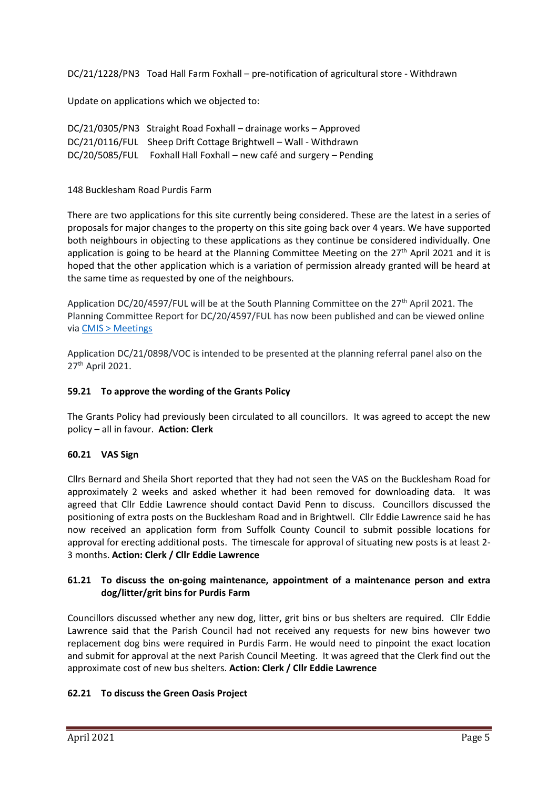DC/21/1228/PN3 Toad Hall Farm Foxhall – pre-notification of agricultural store - Withdrawn

Update on applications which we objected to:

| DC/21/0305/PN3 Straight Road Foxhall - drainage works - Approved     |
|----------------------------------------------------------------------|
| DC/21/0116/FUL Sheep Drift Cottage Brightwell - Wall - Withdrawn     |
| DC/20/5085/FUL Foxhall Hall Foxhall – new café and surgery – Pending |

148 Bucklesham Road Purdis Farm

There are two applications for this site currently being considered. These are the latest in a series of proposals for major changes to the property on this site going back over 4 years. We have supported both neighbours in objecting to these applications as they continue be considered individually. One application is going to be heard at the Planning Committee Meeting on the 27<sup>th</sup> April 2021 and it is hoped that the other application which is a variation of permission already granted will be heard at the same time as requested by one of the neighbours.

Application DC/20/4597/FUL will be at the South Planning Committee on the 27<sup>th</sup> April 2021. The Planning Committee Report for DC/20/4597/FUL has now been published and can be viewed online via [CMIS > Meetings](https://eastsuffolk.cmis.uk.com/eastsuffolk/Meetings/tabid/70/ctl/ViewMeetingPublic/mid/397/Meeting/205/Committee/19/Default.aspx)

Application DC/21/0898/VOC is intended to be presented at the planning referral panel also on the 27th April 2021.

# **59.21 To approve the wording of the Grants Policy**

The Grants Policy had previously been circulated to all councillors. It was agreed to accept the new policy – all in favour. **Action: Clerk**

# **60.21 VAS Sign**

Cllrs Bernard and Sheila Short reported that they had not seen the VAS on the Bucklesham Road for approximately 2 weeks and asked whether it had been removed for downloading data. It was agreed that Cllr Eddie Lawrence should contact David Penn to discuss. Councillors discussed the positioning of extra posts on the Bucklesham Road and in Brightwell. Cllr Eddie Lawrence said he has now received an application form from Suffolk County Council to submit possible locations for approval for erecting additional posts. The timescale for approval of situating new posts is at least 2- 3 months. **Action: Clerk / Cllr Eddie Lawrence**

# **61.21 To discuss the on-going maintenance, appointment of a maintenance person and extra dog/litter/grit bins for Purdis Farm**

Councillors discussed whether any new dog, litter, grit bins or bus shelters are required. Cllr Eddie Lawrence said that the Parish Council had not received any requests for new bins however two replacement dog bins were required in Purdis Farm. He would need to pinpoint the exact location and submit for approval at the next Parish Council Meeting. It was agreed that the Clerk find out the approximate cost of new bus shelters. **Action: Clerk / Cllr Eddie Lawrence**

# **62.21 To discuss the Green Oasis Project**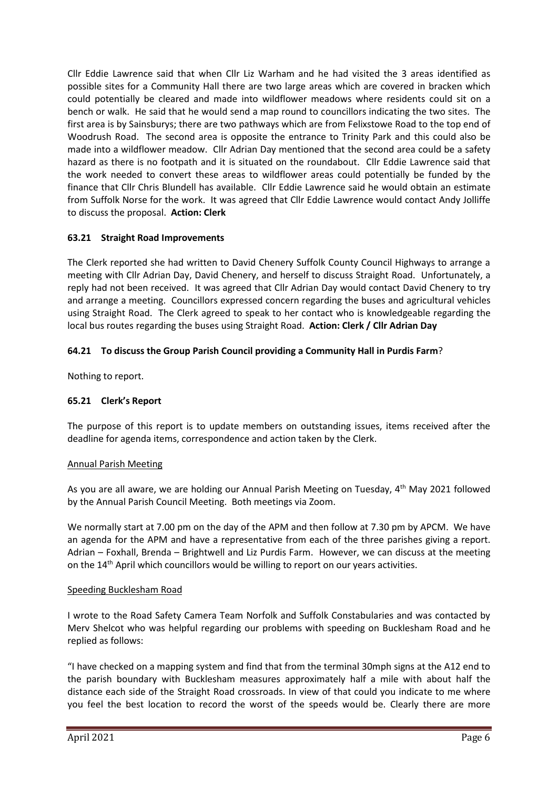Cllr Eddie Lawrence said that when Cllr Liz Warham and he had visited the 3 areas identified as possible sites for a Community Hall there are two large areas which are covered in bracken which could potentially be cleared and made into wildflower meadows where residents could sit on a bench or walk. He said that he would send a map round to councillors indicating the two sites. The first area is by Sainsburys; there are two pathways which are from Felixstowe Road to the top end of Woodrush Road. The second area is opposite the entrance to Trinity Park and this could also be made into a wildflower meadow. Cllr Adrian Day mentioned that the second area could be a safety hazard as there is no footpath and it is situated on the roundabout. Cllr Eddie Lawrence said that the work needed to convert these areas to wildflower areas could potentially be funded by the finance that Cllr Chris Blundell has available. Cllr Eddie Lawrence said he would obtain an estimate from Suffolk Norse for the work. It was agreed that Cllr Eddie Lawrence would contact Andy Jolliffe to discuss the proposal. **Action: Clerk**

# **63.21 Straight Road Improvements**

The Clerk reported she had written to David Chenery Suffolk County Council Highways to arrange a meeting with Cllr Adrian Day, David Chenery, and herself to discuss Straight Road. Unfortunately, a reply had not been received. It was agreed that Cllr Adrian Day would contact David Chenery to try and arrange a meeting. Councillors expressed concern regarding the buses and agricultural vehicles using Straight Road. The Clerk agreed to speak to her contact who is knowledgeable regarding the local bus routes regarding the buses using Straight Road. **Action: Clerk / Cllr Adrian Day**

# **64.21 To discuss the Group Parish Council providing a Community Hall in Purdis Farm**?

Nothing to report.

# **65.21 Clerk's Report**

The purpose of this report is to update members on outstanding issues, items received after the deadline for agenda items, correspondence and action taken by the Clerk.

# Annual Parish Meeting

As you are all aware, we are holding our Annual Parish Meeting on Tuesday, 4th May 2021 followed by the Annual Parish Council Meeting. Both meetings via Zoom.

We normally start at 7.00 pm on the day of the APM and then follow at 7.30 pm by APCM. We have an agenda for the APM and have a representative from each of the three parishes giving a report. Adrian – Foxhall, Brenda – Brightwell and Liz Purdis Farm. However, we can discuss at the meeting on the  $14<sup>th</sup>$  April which councillors would be willing to report on our years activities.

# Speeding Bucklesham Road

I wrote to the Road Safety Camera Team Norfolk and Suffolk Constabularies and was contacted by Merv Shelcot who was helpful regarding our problems with speeding on Bucklesham Road and he replied as follows:

"I have checked on a mapping system and find that from the terminal 30mph signs at the A12 end to the parish boundary with Bucklesham measures approximately half a mile with about half the distance each side of the Straight Road crossroads. In view of that could you indicate to me where you feel the best location to record the worst of the speeds would be. Clearly there are more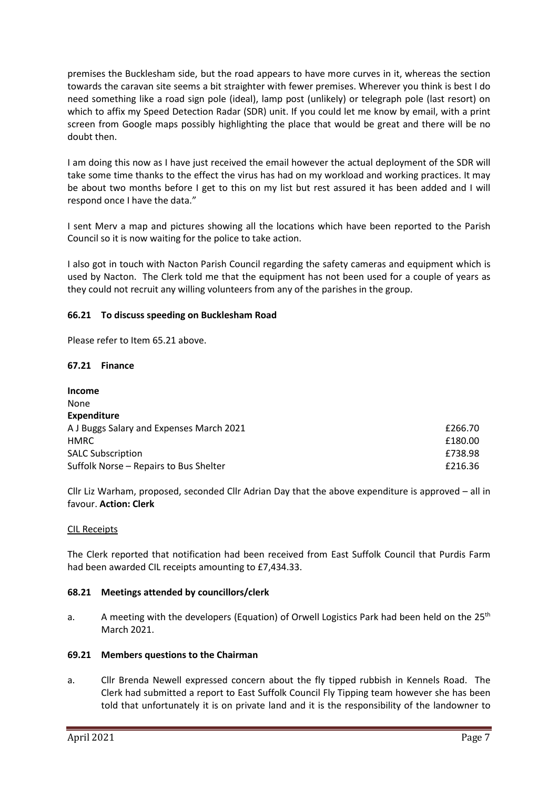premises the Bucklesham side, but the road appears to have more curves in it, whereas the section towards the caravan site seems a bit straighter with fewer premises. Wherever you think is best I do need something like a road sign pole (ideal), lamp post (unlikely) or telegraph pole (last resort) on which to affix my Speed Detection Radar (SDR) unit. If you could let me know by email, with a print screen from Google maps possibly highlighting the place that would be great and there will be no doubt then.

I am doing this now as I have just received the email however the actual deployment of the SDR will take some time thanks to the effect the virus has had on my workload and working practices. It may be about two months before I get to this on my list but rest assured it has been added and I will respond once I have the data."

I sent Merv a map and pictures showing all the locations which have been reported to the Parish Council so it is now waiting for the police to take action.

I also got in touch with Nacton Parish Council regarding the safety cameras and equipment which is used by Nacton. The Clerk told me that the equipment has not been used for a couple of years as they could not recruit any willing volunteers from any of the parishes in the group.

# **66.21 To discuss speeding on Bucklesham Road**

Please refer to Item 65.21 above.

#### **67.21 Finance**

| <b>Income</b>                            |         |
|------------------------------------------|---------|
| None                                     |         |
| <b>Expenditure</b>                       |         |
| A J Buggs Salary and Expenses March 2021 | £266.70 |
| <b>HMRC</b>                              | £180.00 |
| <b>SALC Subscription</b>                 | £738.98 |
| Suffolk Norse - Repairs to Bus Shelter   | £216.36 |

Cllr Liz Warham, proposed, seconded Cllr Adrian Day that the above expenditure is approved – all in favour. **Action: Clerk**

#### CIL Receipts

The Clerk reported that notification had been received from East Suffolk Council that Purdis Farm had been awarded CIL receipts amounting to £7,434.33.

#### **68.21 Meetings attended by councillors/clerk**

a. A meeting with the developers (Equation) of Orwell Logistics Park had been held on the 25<sup>th</sup> March 2021.

#### **69.21 Members questions to the Chairman**

a. Cllr Brenda Newell expressed concern about the fly tipped rubbish in Kennels Road. The Clerk had submitted a report to East Suffolk Council Fly Tipping team however she has been told that unfortunately it is on private land and it is the responsibility of the landowner to